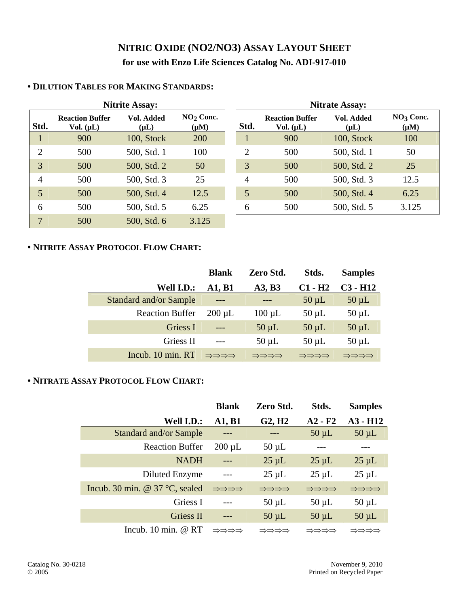# **NITRIC OXIDE (NO2/NO3) ASSAY LAYOUT SHEET for use with Enzo Life Sciences Catalog No. ADI-917-010**

|                |                                          | Nitrite Assay:          |                          | Nitrate Assay: |                |                                          |                         |                        |  |
|----------------|------------------------------------------|-------------------------|--------------------------|----------------|----------------|------------------------------------------|-------------------------|------------------------|--|
| Std.           | <b>Reaction Buffer</b><br>Vol. $(\mu L)$ | Vol. Added<br>$(\mu L)$ | $NO2$ Conc.<br>$(\mu M)$ |                | Std.           | <b>Reaction Buffer</b><br>Vol. $(\mu L)$ | Vol. Added<br>$(\mu L)$ | $NO3$ Cor<br>$(\mu M)$ |  |
|                | 900                                      | 100, Stock              | 200                      |                |                | 900                                      | 100, Stock              | 100                    |  |
| $\overline{2}$ | 500                                      | 500, Std. 1             | 100                      |                | $\overline{2}$ | 500                                      | 500, Std. 1             | 50                     |  |
| 3              | 500                                      | 500, Std. 2             | 50                       |                | 3              | 500                                      | 500, Std. 2             | 25                     |  |
| $\overline{4}$ | 500                                      | 500, Std. 3             | 25                       |                | $\overline{4}$ | 500                                      | 500, Std. 3             | 12.5                   |  |
| 5              | 500                                      | 500, Std. 4             | 12.5                     |                | 5              | 500                                      | 500, Std. 4             | 6.25                   |  |
| 6              | 500                                      | 500, Std. 5             | 6.25                     |                | 6              | 500                                      | 500, Std. 5             | 3.125                  |  |
| 7              | 500                                      | 500, Std. 6             | 3.125                    |                |                |                                          |                         |                        |  |

## **• DILUTION TABLES FOR MAKING STANDARDS:**

|                |                                          | <b>Nitrite Assay:</b>   |                          |                | <b>Nitrate Assay:</b>                    |                         |                          |  |  |  |
|----------------|------------------------------------------|-------------------------|--------------------------|----------------|------------------------------------------|-------------------------|--------------------------|--|--|--|
| td.            | <b>Reaction Buffer</b><br>Vol. $(\mu L)$ | Vol. Added<br>$(\mu L)$ | $NO2$ Conc.<br>$(\mu M)$ | Std.           | <b>Reaction Buffer</b><br>Vol. $(\mu L)$ | Vol. Added<br>$(\mu L)$ | $NO3$ Conc.<br>$(\mu M)$ |  |  |  |
|                | 900                                      | 100, Stock              | 200                      |                | 900                                      | 100, Stock              | 100                      |  |  |  |
| $\overline{2}$ | 500                                      | 500, Std. 1             | 100                      | $\overline{2}$ | 500                                      | 500, Std. 1             | 50                       |  |  |  |
| 3              | 500                                      | 500, Std. 2             | 50                       | 3              | 500                                      | 500, Std. 2             | 25                       |  |  |  |
| 4              | 500                                      | 500, Std. 3             | 25                       | $\overline{4}$ | 500                                      | 500, Std. 3             | 12.5                     |  |  |  |
| $\overline{5}$ | 500                                      | 500, Std. 4             | 12.5                     | 5              | 500                                      | 500, Std. 4             | 6.25                     |  |  |  |
| 6              | 500                                      | 500, Std. 5             | 6.25                     | 6              | 500                                      | 500, Std. 5             | 3.125                    |  |  |  |

### **• NITRITE ASSAY PROTOCOL FLOW CHART:**

|                               | <b>Blank</b> | Zero Std.   | Stds.      | <b>Samples</b> |
|-------------------------------|--------------|-------------|------------|----------------|
| Well I.D.:                    | A1, B1       | A3, B3      | $C1 - H2$  | $C3 - H12$     |
| <b>Standard and/or Sample</b> | $---$        | $---$       | $50 \mu L$ | $50 \mu L$     |
| <b>Reaction Buffer</b>        | $200 \mu L$  | $100 \mu L$ | $50 \mu L$ | $50 \mu L$     |
| Griess I                      | $---$        | $50 \mu L$  | $50 \mu L$ | $50 \mu L$     |
| Griess II                     | $---$        | $50 \mu L$  | $50 \mu L$ | $50 \mu L$     |
| Incub. 10 min. RT             | ⇒⇒⇒⇒         | ⇒⇒⇒⇒        | ⇒⇒⇒⇒       | ⇒⇒⇒⇒           |

### **• NITRATE ASSAY PROTOCOL FLOW CHART:**

|                                         | <b>Blank</b> | Zero Std.          | Stds.      | <b>Samples</b> |
|-----------------------------------------|--------------|--------------------|------------|----------------|
| Well I.D.:                              | A1, B1       | G2, H <sub>2</sub> | $A2 - F2$  | $A3 - H12$     |
| Standard and/or Sample                  | $---$        |                    | $50 \mu L$ | $50 \mu L$     |
| <b>Reaction Buffer</b>                  | $200 \mu L$  | $50 \mu L$         |            |                |
| <b>NADH</b>                             |              | $25 \mu L$         | $25 \mu L$ | $25 \mu L$     |
| Diluted Enzyme                          | $---$        | $25 \mu L$         | $25 \mu L$ | $25 \mu L$     |
| Incub. 30 min. @ $37^{\circ}$ C, sealed | ⇒⇒⇒⇒         | ⇒⇒⇒⇒               | ⇒⇒⇒⇒       | ⇒⇒⇒⇒           |
| Griess I                                |              | $50 \mu L$         | $50 \mu L$ | $50 \mu L$     |
| Griess II                               | $---$        | $50 \mu L$         | $50 \mu L$ | $50 \mu L$     |
| Incub. $10 \text{ min.} \ @ \text{RT}$  | ⇒⇒⇒⇒         | ⇒⇒⇒⇒               | ⇒⇒⇒⇒       | ⇒⇒⇒⇒           |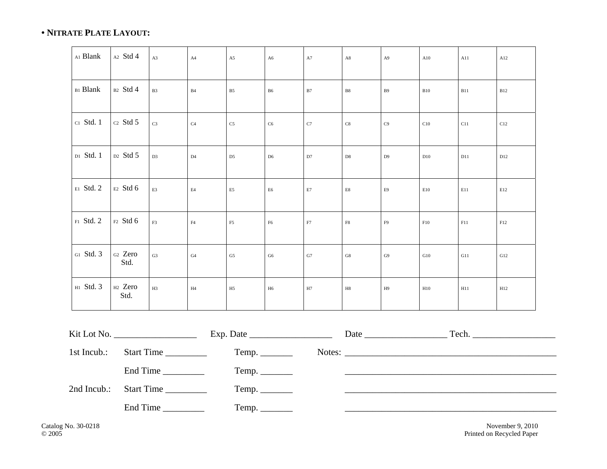#### **• NITRATE PLATE LAYOUT:**

| Al Blank        | A2 Std 4                    | A3             | A4             | A5             | A6             | ${\rm A}7$    | A8                        | A <sup>9</sup> | A10        | A11 | A12 |
|-----------------|-----------------------------|----------------|----------------|----------------|----------------|---------------|---------------------------|----------------|------------|-----|-----|
| <b>B1 Blank</b> | B2 Std 4                    | B3             | B4             | B <sub>5</sub> | ${\bf B6}$     | $\mathbf{B}7$ | $_{\rm B8}$               | B9             | <b>B10</b> | B11 | B12 |
| c1 Std. 1       | $C2$ Std 5                  | C <sub>3</sub> | C <sub>4</sub> | $\rm{C5}$      | $\rm{C6}$      | $\mathbf{C}7$ | C8                        | C9             | C10        | C11 | C12 |
| D1 Std. 1       | D <sub>2</sub> Std 5        | D <sub>3</sub> | D4             | D <sub>5</sub> | D <sub>6</sub> | D7            | D8                        | D <sub>9</sub> | D10        | D11 | D12 |
| E1 Std. 2       | E2 Std 6                    | E3             | $\rm E4$       | E <sub>5</sub> | ${\rm E6}$     | $\rm E7$      | $\mathop{\hbox{\rm E}} 8$ | E9             | E10        | E11 | E12 |
| F1 Std. 2       | F2 Std 6                    | $\rm F3$       | F4             | $_{\rm F5}$    | ${\rm F6}$     | ${\rm F}7$    | $\rm{F8}$                 | F9             | F10        | F11 | F12 |
| G1 Std. 3       | <sub>G2</sub> Zero<br>Std.  | G <sub>3</sub> | G4             | ${\rm G}5$     | G6             | ${\rm G}7$    | G8                        | G9             | G10        | G11 | G12 |
| H1 Std. 3       | H <sub>2</sub> Zero<br>Std. | H3             | H4             | H <sub>5</sub> | H6             | $\rm H7$      | $_{\rm H8}$               | H9             | H10        | H11 | H12 |

|                        | Exp. Date $\_\_\_\_\_\_\_\_\_\_\_\_\_\_\_\_\_\_\_\_$ |  |  |
|------------------------|------------------------------------------------------|--|--|
|                        |                                                      |  |  |
| End Time               |                                                      |  |  |
| 2nd Incub.: Start Time |                                                      |  |  |
| End Time               |                                                      |  |  |

Catalog No. 30-0218 November 9, 2010<br>
© 2005 Printed on Recycled Paper Printed on Recycled Paper